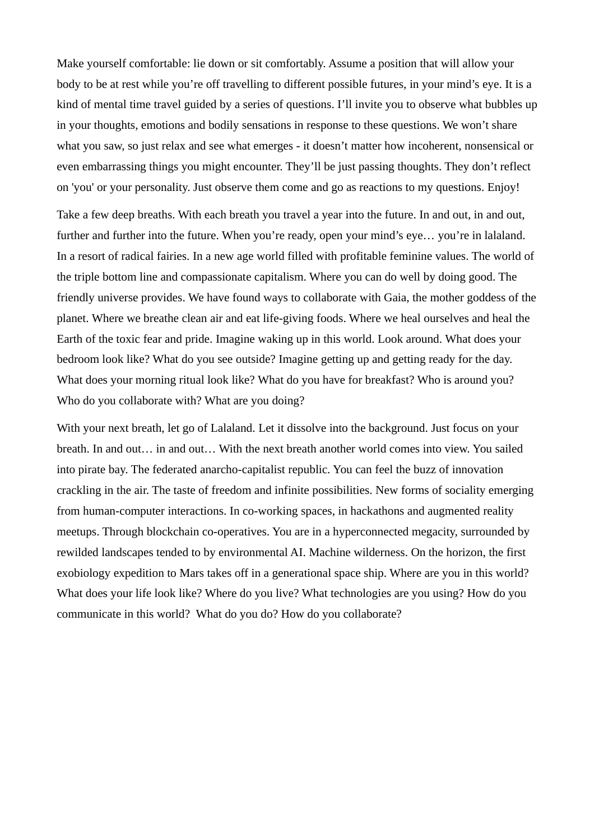Make yourself comfortable: lie down or sit comfortably. Assume a position that will allow your body to be at rest while you're off travelling to different possible futures, in your mind's eye. It is a kind of mental time travel guided by a series of questions. I'll invite you to observe what bubbles up in your thoughts, emotions and bodily sensations in response to these questions. We won't share what you saw, so just relax and see what emerges - it doesn't matter how incoherent, nonsensical or even embarrassing things you might encounter. They'll be just passing thoughts. They don't reflect on 'you' or your personality. Just observe them come and go as reactions to my questions. Enjoy!

Take a few deep breaths. With each breath you travel a year into the future. In and out, in and out, further and further into the future. When you're ready, open your mind's eye... you're in lalaland. In a resort of radical fairies. In a new age world filled with profitable feminine values. The world of the triple bottom line and compassionate capitalism. Where you can do well by doing good. The friendly universe provides. We have found ways to collaborate with Gaia, the mother goddess of the planet. Where we breathe clean air and eat life-giving foods. Where we heal ourselves and heal the Earth of the toxic fear and pride. Imagine waking up in this world. Look around. What does your bedroom look like? What do you see outside? Imagine getting up and getting ready for the day. What does your morning ritual look like? What do you have for breakfast? Who is around you? Who do you collaborate with? What are you doing?

With your next breath, let go of Lalaland. Let it dissolve into the background. Just focus on your breath. In and out… in and out… With the next breath another world comes into view. You sailed into pirate bay. The federated anarcho-capitalist republic. You can feel the buzz of innovation crackling in the air. The taste of freedom and infinite possibilities. New forms of sociality emerging from human-computer interactions. In co-working spaces, in hackathons and augmented reality meetups. Through blockchain co-operatives. You are in a hyperconnected megacity, surrounded by rewilded landscapes tended to by environmental AI. Machine wilderness. On the horizon, the first exobiology expedition to Mars takes off in a generational space ship. Where are you in this world? What does your life look like? Where do you live? What technologies are you using? How do you communicate in this world? What do you do? How do you collaborate?